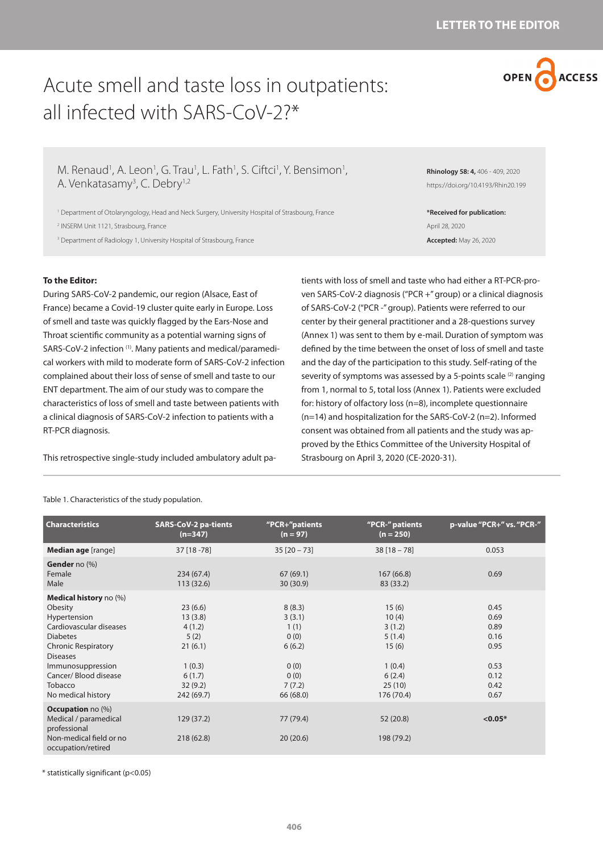

# Acute smell and taste loss in outpatients: all infected with SARS-CoV-2?\*

M. Renaud<sup>1</sup>, A. Leon<sup>1</sup>, G. Trau<sup>1</sup>, L. Fath<sup>1</sup>, S. Ciftci<sup>1</sup>, Y. Bensimon<sup>1</sup>, A. Venkatasamy<sup>3</sup>, C. Debry<sup>1,2</sup>

1 Department of Otolaryngology, Head and Neck Surgery, University Hospital of Strasbourg, France

2 INSERM Unit 1121, Strasbourg, France

<sup>3</sup> Department of Radiology 1, University Hospital of Strasbourg, France

**Rhinology 58: 4,** 406 - 409, 2020 https://doi.org/10.4193/Rhin20.199

**\*Received for publication:** April 28, 2020 **Accepted:** May 26, 2020

## **To the Editor:**

During SARS-CoV-2 pandemic, our region (Alsace, East of France) became a Covid-19 cluster quite early in Europe. Loss of smell and taste was quickly flagged by the Ears-Nose and Throat scientific community as a potential warning signs of SARS-CoV-2 infection <sup>(1)</sup>. Many patients and medical/paramedical workers with mild to moderate form of SARS-CoV-2 infection complained about their loss of sense of smell and taste to our ENT department. The aim of our study was to compare the characteristics of loss of smell and taste between patients with a clinical diagnosis of SARS-CoV-2 infection to patients with a RT-PCR diagnosis.

This retrospective single-study included ambulatory adult pa-

tients with loss of smell and taste who had either a RT-PCR-proven SARS-CoV-2 diagnosis ("PCR +" group) or a clinical diagnosis of SARS-CoV-2 ("PCR -" group). Patients were referred to our center by their general practitioner and a 28-questions survey (Annex 1) was sent to them by e-mail. Duration of symptom was defined by the time between the onset of loss of smell and taste and the day of the participation to this study. Self-rating of the severity of symptoms was assessed by a 5-points scale (2) ranging from 1, normal to 5, total loss (Annex 1). Patients were excluded for: history of olfactory loss (n=8), incomplete questionnaire (n=14) and hospitalization for the SARS-CoV-2 (n=2). Informed consent was obtained from all patients and the study was approved by the Ethics Committee of the University Hospital of Strasbourg on April 3, 2020 (CE-2020-31).

| <b>Characteristics</b>                                                                                                                                                                                                         | <b>SARS-CoV-2 pa-tients</b><br>$(n=347)$                                                     | "PCR+"patients<br>$(n = 97)$                                                      | "PCR-" patients<br>$(n = 250)$                                                          | p-value "PCR+" vs. "PCR-"                                            |
|--------------------------------------------------------------------------------------------------------------------------------------------------------------------------------------------------------------------------------|----------------------------------------------------------------------------------------------|-----------------------------------------------------------------------------------|-----------------------------------------------------------------------------------------|----------------------------------------------------------------------|
| Median age [range]                                                                                                                                                                                                             | 37 [18 - 78]                                                                                 | $35$ [20 - 73]                                                                    | $38[18 - 78]$                                                                           | 0.053                                                                |
| <b>Gender</b> no (%)<br>Female<br>Male                                                                                                                                                                                         | 234(67.4)<br>113(32.6)                                                                       | 67(69.1)<br>30 (30.9)                                                             | 167(66.8)<br>83 (33.2)                                                                  | 0.69                                                                 |
| Medical history no (%)<br>Obesity<br>Hypertension<br>Cardiovascular diseases<br><b>Diabetes</b><br><b>Chronic Respiratory</b><br><b>Diseases</b><br>Immunosuppression<br>Cancer/Blood disease<br>Tobacco<br>No medical history | 23(6.6)<br>13(3.8)<br>4(1.2)<br>5(2)<br>21(6.1)<br>1(0.3)<br>6(1.7)<br>32(9.2)<br>242 (69.7) | 8(8.3)<br>3(3.1)<br>1(1)<br>0(0)<br>6(6.2)<br>0(0)<br>0(0)<br>7(7.2)<br>66 (68.0) | 15(6)<br>10(4)<br>3(1.2)<br>5(1.4)<br>15(6)<br>1(0.4)<br>6(2.4)<br>25(10)<br>176 (70.4) | 0.45<br>0.69<br>0.89<br>0.16<br>0.95<br>0.53<br>0.12<br>0.42<br>0.67 |
| <b>Occupation</b> no (%)<br>Medical / paramedical<br>professional<br>Non-medical field or no<br>occupation/retired                                                                                                             | 129(37.2)<br>218(62.8)                                                                       | 77 (79.4)<br>20(20.6)                                                             | 52 (20.8)<br>198 (79.2)                                                                 | $< 0.05*$                                                            |

Table 1. Characteristics of the study population.

\* statistically significant (p<0.05)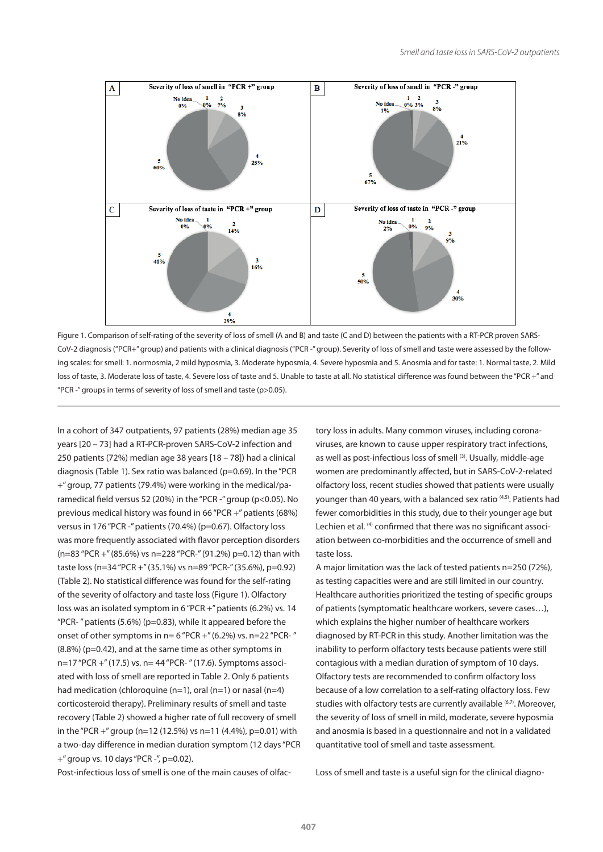

Figure 1. Comparison of self-rating of the severity of loss of smell (A and B) and taste (C and D) between the patients with a RT-PCR proven SARS-CoV-2 diagnosis ("PCR+" group) and patients with a clinical diagnosis ("PCR -" group). Severity of loss of smell and taste were assessed by the following scales: for smell: 1. normosmia, 2 mild hyposmia, 3. Moderate hyposmia, 4. Severe hyposmia and 5. Anosmia and for taste: 1. Normal taste, 2. Mild loss of taste, 3. Moderate loss of taste, 4. Severe loss of taste and 5. Unable to taste at all. No statistical difference was found between the "PCR +" and "PCR -" groups in terms of severity of loss of smell and taste (p>0.05).

In a cohort of 347 outpatients, 97 patients (28%) median age 35 years [20 – 73] had a RT-PCR-proven SARS-CoV-2 infection and 250 patients (72%) median age 38 years [18 – 78]) had a clinical diagnosis (Table 1). Sex ratio was balanced (p=0.69). In the "PCR +" group, 77 patients (79.4%) were working in the medical/paramedical field versus 52 (20%) in the "PCR -" group (p<0.05). No previous medical history was found in 66 "PCR +" patients (68%) versus in 176 "PCR -" patients (70.4%) (p=0.67). Olfactory loss was more frequently associated with flavor perception disorders (n=83 "PCR +" (85.6%) vs n=228 "PCR-" (91.2%) p=0.12) than with taste loss (n=34 "PCR +" (35.1%) vs n=89 "PCR-" (35.6%), p=0.92) (Table 2). No statistical difference was found for the self-rating of the severity of olfactory and taste loss (Figure 1). Olfactory loss was an isolated symptom in 6 "PCR +" patients (6.2%) vs. 14 "PCR-" patients  $(5.6%)$  (p=0.83), while it appeared before the onset of other symptoms in  $n= 6$  "PCR +" (6.2%) vs.  $n=22$  "PCR-" (8.8%) (p=0.42), and at the same time as other symptoms in n=17 "PCR +" (17.5) vs. n= 44 "PCR- " (17.6). Symptoms associated with loss of smell are reported in Table 2. Only 6 patients had medication (chloroquine  $(n=1)$ , oral  $(n=1)$  or nasal  $(n=4)$ corticosteroid therapy). Preliminary results of smell and taste recovery (Table 2) showed a higher rate of full recovery of smell in the "PCR +" group (n=12 (12.5%) vs n=11 (4.4%), p=0.01) with a two-day difference in median duration symptom (12 days "PCR +" group vs. 10 days "PCR -", p=0.02).

Post-infectious loss of smell is one of the main causes of olfac-

tory loss in adults. Many common viruses, including coronaviruses, are known to cause upper respiratory tract infections, as well as post-infectious loss of smell (3). Usually, middle-age women are predominantly affected, but in SARS-CoV-2-related olfactory loss, recent studies showed that patients were usually younger than 40 years, with a balanced sex ratio (4,5). Patients had fewer comorbidities in this study, due to their younger age but Lechien et al. <sup>(4)</sup> confirmed that there was no significant association between co-morbidities and the occurrence of smell and taste loss.

A major limitation was the lack of tested patients n=250 (72%), as testing capacities were and are still limited in our country. Healthcare authorities prioritized the testing of specific groups of patients (symptomatic healthcare workers, severe cases…), which explains the higher number of healthcare workers diagnosed by RT-PCR in this study. Another limitation was the inability to perform olfactory tests because patients were still contagious with a median duration of symptom of 10 days. Olfactory tests are recommended to confirm olfactory loss because of a low correlation to a self-rating olfactory loss. Few studies with olfactory tests are currently available (6,7). Moreover, the severity of loss of smell in mild, moderate, severe hyposmia and anosmia is based in a questionnaire and not in a validated quantitative tool of smell and taste assessment.

Loss of smell and taste is a useful sign for the clinical diagno-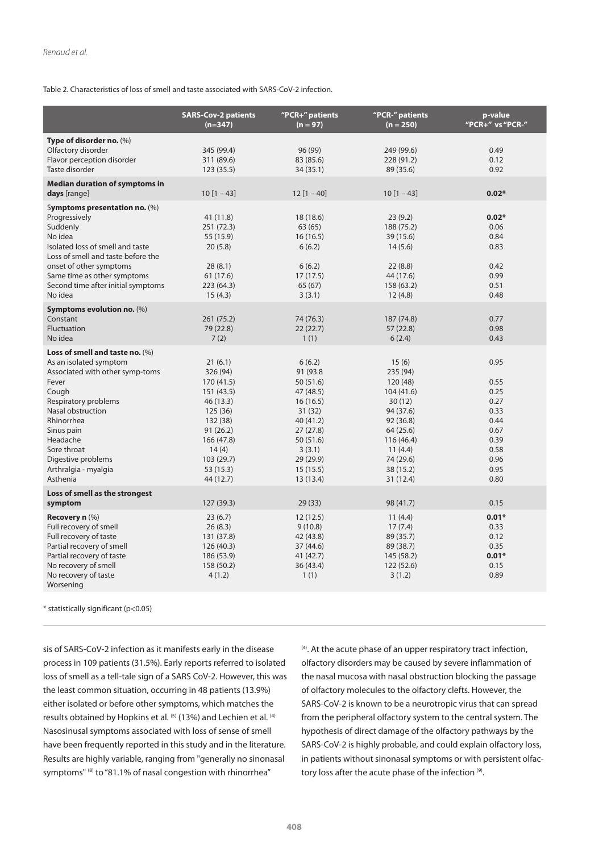Table 2. Characteristics of loss of smell and taste associated with SARS-CoV-2 infection.

|                                                                                                                                                                                                                                                                              | <b>SARS-Cov-2 patients</b><br>$(n=347)$                                                                                                                       | "PCR+" patients<br>$(n = 97)$                                                                                                                             | "PCR-" patients<br>$(n = 250)$                                                                                                                               | p-value<br>"PCR+" vs "PCR-"                                                                  |
|------------------------------------------------------------------------------------------------------------------------------------------------------------------------------------------------------------------------------------------------------------------------------|---------------------------------------------------------------------------------------------------------------------------------------------------------------|-----------------------------------------------------------------------------------------------------------------------------------------------------------|--------------------------------------------------------------------------------------------------------------------------------------------------------------|----------------------------------------------------------------------------------------------|
| Type of disorder no. (%)<br>Olfactory disorder<br>Flavor perception disorder<br>Taste disorder                                                                                                                                                                               | 345 (99.4)<br>311 (89.6)<br>123(35.5)                                                                                                                         | 96 (99)<br>83 (85.6)<br>34 (35.1)                                                                                                                         | 249 (99.6)<br>228 (91.2)<br>89 (35.6)                                                                                                                        | 0.49<br>0.12<br>0.92                                                                         |
| <b>Median duration of symptoms in</b><br>days [range]                                                                                                                                                                                                                        | $10[1 - 43]$                                                                                                                                                  | $12 [1 - 40]$                                                                                                                                             | $10[1 - 43]$                                                                                                                                                 | $0.02*$                                                                                      |
| Symptoms presentation no. (%)<br>Progressively<br>Suddenly<br>No idea<br>Isolated loss of smell and taste<br>Loss of smell and taste before the<br>onset of other symptoms<br>Same time as other symptoms<br>Second time after initial symptoms<br>No idea                   | 41 (11.8)<br>251 (72.3)<br>55 (15.9)<br>20(5.8)<br>28(8.1)<br>61 (17.6)<br>223(64.3)<br>15(4.3)                                                               | 18 (18.6)<br>63(65)<br>16(16.5)<br>6(6.2)<br>6(6.2)<br>17(17.5)<br>65 (67)<br>3(3.1)                                                                      | 23(9.2)<br>188 (75.2)<br>39 (15.6)<br>14(5.6)<br>22(8.8)<br>44 (17.6)<br>158 (63.2)<br>12(4.8)                                                               | $0.02*$<br>0.06<br>0.84<br>0.83<br>0.42<br>0.99<br>0.51<br>0.48                              |
| Symptoms evolution no. (%)<br>Constant<br>Fluctuation<br>No idea                                                                                                                                                                                                             | 261 (75.2)<br>79 (22.8)<br>7(2)                                                                                                                               | 74 (76.3)<br>22(22.7)<br>1(1)                                                                                                                             | 187 (74.8)<br>57 (22.8)<br>6(2.4)                                                                                                                            | 0.77<br>0.98<br>0.43                                                                         |
| Loss of smell and taste no. (%)<br>As an isolated symptom<br>Associated with other symp-toms<br>Fever<br>Cough<br>Respiratory problems<br>Nasal obstruction<br>Rhinorrhea<br>Sinus pain<br>Headache<br>Sore throat<br>Digestive problems<br>Arthralgia - myalgia<br>Asthenia | 21(6.1)<br>326 (94)<br>170 (41.5)<br>151 (43.5)<br>46(13.3)<br>125(36)<br>132 (38)<br>91(26.2)<br>166 (47.8)<br>14(4)<br>103 (29.7)<br>53 (15.3)<br>44 (12.7) | 6(6.2)<br>91 (93.8)<br>50 (51.6)<br>47 (48.5)<br>16(16.5)<br>31(32)<br>40 (41.2)<br>27(27.8)<br>50 (51.6)<br>3(3.1)<br>29 (29.9)<br>15(15.5)<br>13 (13.4) | 15(6)<br>235 (94)<br>120 (48)<br>104 (41.6)<br>30(12)<br>94 (37.6)<br>92 (36.8)<br>64 (25.6)<br>116 (46.4)<br>11(4.4)<br>74 (29.6)<br>38 (15.2)<br>31 (12.4) | 0.95<br>0.55<br>0.25<br>0.27<br>0.33<br>0.44<br>0.67<br>0.39<br>0.58<br>0.96<br>0.95<br>0.80 |
| Loss of smell as the strongest<br>symptom                                                                                                                                                                                                                                    | 127(39.3)                                                                                                                                                     | 29(33)                                                                                                                                                    | 98 (41.7)                                                                                                                                                    | 0.15                                                                                         |
| Recovery $n$ $(\%)$<br>Full recovery of smell<br>Full recovery of taste<br>Partial recovery of smell<br>Partial recovery of taste<br>No recovery of smell<br>No recovery of taste<br>Worsening                                                                               | 23(6.7)<br>26(8.3)<br>131 (37.8)<br>126(40.3)<br>186 (53.9)<br>158 (50.2)<br>4(1.2)                                                                           | 12(12.5)<br>9(10.8)<br>42 (43.8)<br>37 (44.6)<br>41 (42.7)<br>36 (43.4)<br>1(1)                                                                           | 11(4.4)<br>17(7.4)<br>89 (35.7)<br>89 (38.7)<br>145 (58.2)<br>122 (52.6)<br>3(1.2)                                                                           | $0.01*$<br>0.33<br>0.12<br>0.35<br>$0.01*$<br>0.15<br>0.89                                   |

\* statistically significant (p<0.05)

sis of SARS-CoV-2 infection as it manifests early in the disease process in 109 patients (31.5%). Early reports referred to isolated loss of smell as a tell-tale sign of a SARS CoV-2. However, this was the least common situation, occurring in 48 patients (13.9%) either isolated or before other symptoms, which matches the results obtained by Hopkins et al. <sup>(5)</sup> (13%) and Lechien et al. <sup>(4)</sup> Nasosinusal symptoms associated with loss of sense of smell have been frequently reported in this study and in the literature. Results are highly variable, ranging from "generally no sinonasal symptoms" (8) to "81.1% of nasal congestion with rhinorrhea"

 $(4)$ . At the acute phase of an upper respiratory tract infection, olfactory disorders may be caused by severe inflammation of the nasal mucosa with nasal obstruction blocking the passage of olfactory molecules to the olfactory clefts. However, the SARS-CoV-2 is known to be a neurotropic virus that can spread from the peripheral olfactory system to the central system. The hypothesis of direct damage of the olfactory pathways by the SARS-CoV-2 is highly probable, and could explain olfactory loss, in patients without sinonasal symptoms or with persistent olfactory loss after the acute phase of the infection (9).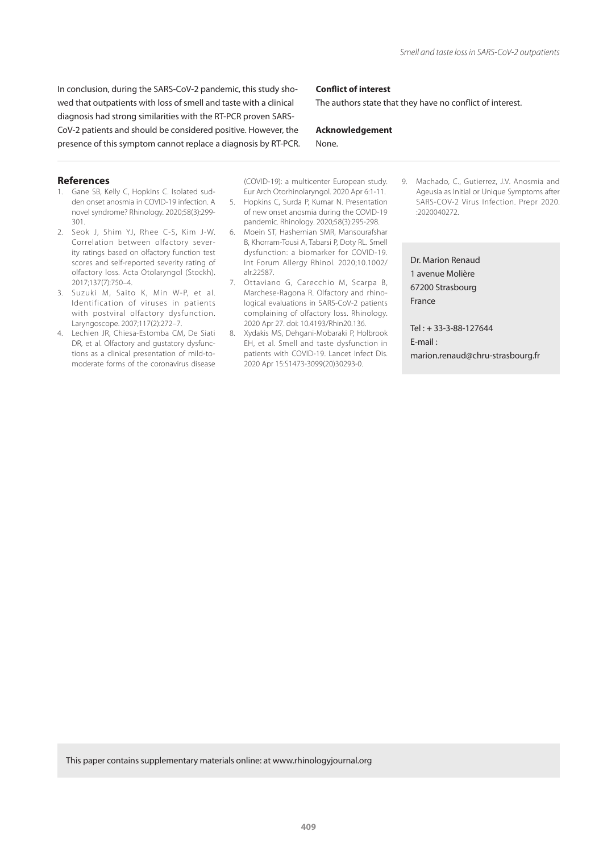In conclusion, during the SARS-CoV-2 pandemic, this study showed that outpatients with loss of smell and taste with a clinical diagnosis had strong similarities with the RT-PCR proven SARS-CoV-2 patients and should be considered positive. However, the presence of this symptom cannot replace a diagnosis by RT-PCR.

### **Conflict of interest**

The authors state that they have no conflict of interest.

# **Acknowledgement**

### **References**

- 1. Gane SB, Kelly C, Hopkins C. Isolated sudden onset anosmia in COVID-19 infection. A novel syndrome? Rhinology. 2020;58(3):299- 301.
- 2. Seok J, Shim YJ, Rhee C-S, Kim J-W. Correlation between olfactory severity ratings based on olfactory function test scores and self-reported severity rating of olfactory loss. Acta Otolaryngol (Stockh). 2017;137(7):750–4.
- 3. Suzuki M, Saito K, Min W-P, et al. Identification of viruses in patients with postviral olfactory dysfunction. Laryngoscope. 2007;117(2):272–7.
- 4. Lechien JR, Chiesa-Estomba CM, De Siati DR, et al. Olfactory and gustatory dysfunctions as a clinical presentation of mild-tomoderate forms of the coronavirus disease

(COVID-19): a multicenter European study. Eur Arch Otorhinolaryngol. 2020 Apr 6:1-11.

None.

- 5. Hopkins C, Surda P, Kumar N. Presentation of new onset anosmia during the COVID-19 pandemic. Rhinology. 2020;58(3):295-298.
- 6. Moein ST, Hashemian SMR, Mansourafshar B, Khorram-Tousi A, Tabarsi P, Doty RL. Smell dysfunction: a biomarker for COVID-19. Int Forum Allergy Rhinol. 2020;10.1002/ alr.22587.
- 7. Ottaviano G, Carecchio M, Scarpa B, Marchese-Ragona R. Olfactory and rhinological evaluations in SARS-CoV-2 patients complaining of olfactory loss. Rhinology. 2020 Apr 27. doi: 10.4193/Rhin20.136.
- 8. Xydakis MS, Dehgani-Mobaraki P, Holbrook EH, et al. Smell and taste dysfunction in patients with COVID-19. Lancet Infect Dis. 2020 Apr 15:S1473-3099(20)30293-0.

9. Machado, C., Gutierrez, J.V. Anosmia and Ageusia as Initial or Unique Symptoms after SARS-COV-2 Virus Infection. Prepr 2020. :2020040272.

Dr. Marion Renaud 1 avenue Molière 67200 Strasbourg France

Tel : + 33-3-88-127644 E-mail : marion.renaud@chru-strasbourg.fr

This paper contains supplementary materials online: at www.rhinologyjournal.org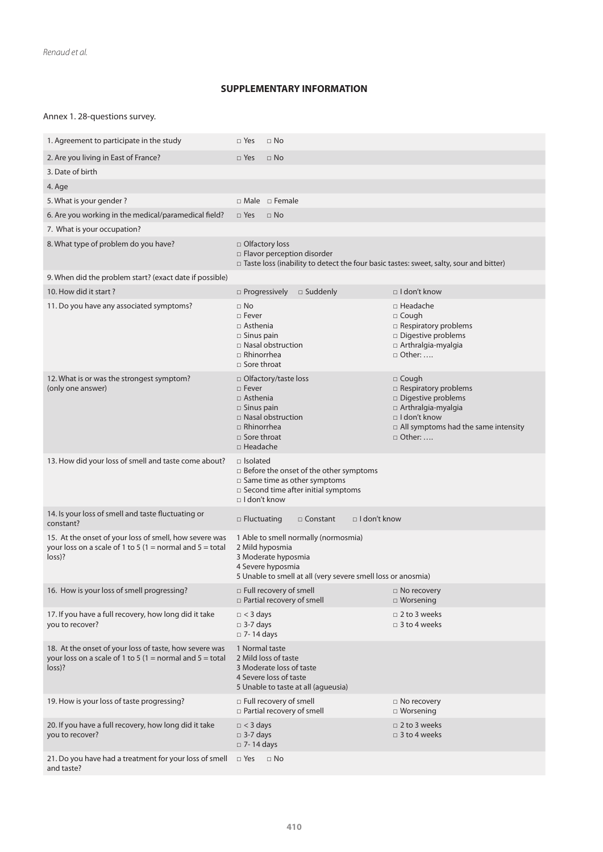## **SUPPLEMENTARY INFORMATION**

## Annex 1. 28-questions survey.

| 1. Agreement to participate in the study                                                                                        | $\Box$ Yes<br>$\Box$ No                                                                                                                                                |                                                                                                                                                                              |  |  |
|---------------------------------------------------------------------------------------------------------------------------------|------------------------------------------------------------------------------------------------------------------------------------------------------------------------|------------------------------------------------------------------------------------------------------------------------------------------------------------------------------|--|--|
| 2. Are you living in East of France?                                                                                            | $\Box$ Yes<br>$\Box$ No                                                                                                                                                |                                                                                                                                                                              |  |  |
| 3. Date of birth                                                                                                                |                                                                                                                                                                        |                                                                                                                                                                              |  |  |
| 4. Age                                                                                                                          |                                                                                                                                                                        |                                                                                                                                                                              |  |  |
| 5. What is your gender?                                                                                                         | $\Box$ Male $\Box$ Female                                                                                                                                              |                                                                                                                                                                              |  |  |
| 6. Are you working in the medical/paramedical field?                                                                            | $\Box$ Yes<br>$\Box$ No                                                                                                                                                |                                                                                                                                                                              |  |  |
| 7. What is your occupation?                                                                                                     |                                                                                                                                                                        |                                                                                                                                                                              |  |  |
| 8. What type of problem do you have?                                                                                            | □ Olfactory loss<br>□ Flavor perception disorder<br>$\Box$ Taste loss (inability to detect the four basic tastes: sweet, salty, sour and bitter)                       |                                                                                                                                                                              |  |  |
| 9. When did the problem start? (exact date if possible)                                                                         |                                                                                                                                                                        |                                                                                                                                                                              |  |  |
| 10. How did it start?                                                                                                           | $\square$ Progressively<br>$\square$ Suddenly                                                                                                                          | $\Box$ I don't know                                                                                                                                                          |  |  |
| 11. Do you have any associated symptoms?                                                                                        | $\Box$ No<br>□ Fever<br>$\Box$ Asthenia<br>$\Box$ Sinus pain<br>$\Box$ Nasal obstruction<br>$\Box$ Rhinorrhea<br>$\Box$ Sore throat                                    | □ Headache<br>$\Box$ Cough<br>$\Box$ Respiratory problems<br>□ Digestive problems<br>$\Box$ Arthralgia-myalgia<br>$\Box$ Other:                                              |  |  |
| 12. What is or was the strongest symptom?<br>(only one answer)                                                                  | □ Olfactory/taste loss<br>$\Box$ Fever<br>$\Box$ Asthenia<br>$\Box$ Sinus pain<br>□ Nasal obstruction<br>$\Box$ Rhinorrhea<br>$\square$ Sore throat<br>$\Box$ Headache | $\Box$ Cough<br>□ Respiratory problems<br>□ Digestive problems<br>$\Box$ Arthralgia-myalgia<br>□ I don't know<br>$\Box$ All symptoms had the same intensity<br>$\Box$ Other: |  |  |
| 13. How did your loss of smell and taste come about?                                                                            | $\Box$ Isolated<br>□ Before the onset of the other symptoms<br>$\Box$ Same time as other symptoms<br>$\Box$ Second time after initial symptoms<br>$\Box$ I don't know  |                                                                                                                                                                              |  |  |
| 14. Is your loss of smell and taste fluctuating or<br>constant?                                                                 | $\Box$ I don't know<br>$\Box$ Fluctuating<br>$\Box$ Constant                                                                                                           |                                                                                                                                                                              |  |  |
| 15. At the onset of your loss of smell, how severe was<br>your loss on a scale of 1 to 5 (1 = normal and 5 = total<br>$loss$ )? | 1 Able to smell normally (normosmia)<br>2 Mild hyposmia<br>3 Moderate hyposmia<br>4 Severe hyposmia<br>5 Unable to smell at all (very severe smell loss or anosmia)    |                                                                                                                                                                              |  |  |
| 16. How is your loss of smell progressing?                                                                                      | □ Full recovery of smell<br>$\Box$ Partial recovery of smell                                                                                                           | $\Box$ No recovery<br>$\Box$ Worsening                                                                                                                                       |  |  |
| 17. If you have a full recovery, how long did it take<br>you to recover?                                                        | $\Box$ < 3 days<br>$\Box$ 3-7 days<br>$\square$ 7-14 days                                                                                                              | $\Box$ 2 to 3 weeks<br>$\Box$ 3 to 4 weeks                                                                                                                                   |  |  |
| 18. At the onset of your loss of taste, how severe was<br>your loss on a scale of 1 to 5 (1 = normal and 5 = total<br>$loss)$ ? | 1 Normal taste<br>2 Mild loss of taste<br>3 Moderate loss of taste<br>4 Severe loss of taste<br>5 Unable to taste at all (agueusia)                                    |                                                                                                                                                                              |  |  |
| 19. How is your loss of taste progressing?                                                                                      | $\Box$ Full recovery of smell<br>□ Partial recovery of smell                                                                                                           | □ No recovery<br>$\Box$ Worsening                                                                                                                                            |  |  |
| 20. If you have a full recovery, how long did it take<br>you to recover?                                                        | $\Box$ < 3 days<br>$\Box$ 3-7 days<br>$\Box$ 7-14 days                                                                                                                 | $\Box$ 2 to 3 weeks<br>$\Box$ 3 to 4 weeks                                                                                                                                   |  |  |
| 21. Do you have had a treatment for your loss of smell<br>and taste?                                                            | $\Box$ Yes<br>$\Box$ No                                                                                                                                                |                                                                                                                                                                              |  |  |